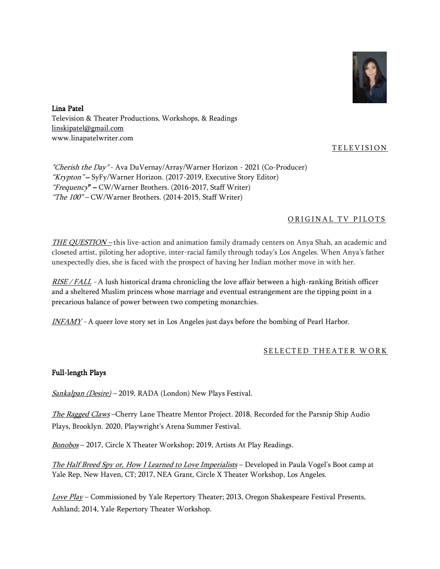

Lina Patel Television & Theater Productions, Workshops, & Readings [linskipatel@gmail.com](mailto:linskipatel@gmail.com) www.linapatelwriter.com

# TELEVISION

"Cherish the Day" - Ava DuVernay/Array/Warner Horizon - 2021 (Co-Producer) "Krypton" – SyFy/Warner Horizon. (2017-2019, Executive Story Editor) "Frequency" – CW/Warner Brothers. (2016-2017, Staff Writer) "The 100" – CW/Warner Brothers. (2014-2015, Staff Writer)

# ORIGINAL TV PILOTS

THE QUESTION – this live-action and animation family dramady centers on Anya Shah, an academic and closeted artist, piloting her adoptive, inter-racial family through today's Los Angeles. When Anya's father unexpectedly dies, she is faced with the prospect of having her Indian mother move in with her.

RISE / FALL - A lush historical drama chronicling the love affair between a high-ranking British officer and a sheltered Muslim princess whose marriage and eventual estrangement are the tipping point in a precarious balance of power between two competing monarchies.

INFAMY - A queer love story set in Los Angeles just days before the bombing of Pearl Harbor.

## SELECTED THEATER WORK

### Full-length Plays

Sankalpan (Desire) – 2019, RADA (London) New Plays Festival.

The Ragged Claws-Cherry Lane Theatre Mentor Project. 2018, Recorded for the Parsnip Ship Audio Plays, Brooklyn. 2020, Playwright's Arena Summer Festival.

Bonobos – 2017, Circle X Theater Workshop; 2019, Artists At Play Readings.

The Half Breed Spy or, How I Learned to Love Imperialists – Developed in Paula Vogel's Boot camp at Yale Rep, New Haven, CT; 2017, NEA Grant, Circle X Theater Workshop, Los Angeles.

Love Play – Commissioned by Yale Repertory Theater; 2013, Oregon Shakespeare Festival Presents, Ashland; 2014, Yale Repertory Theater Workshop.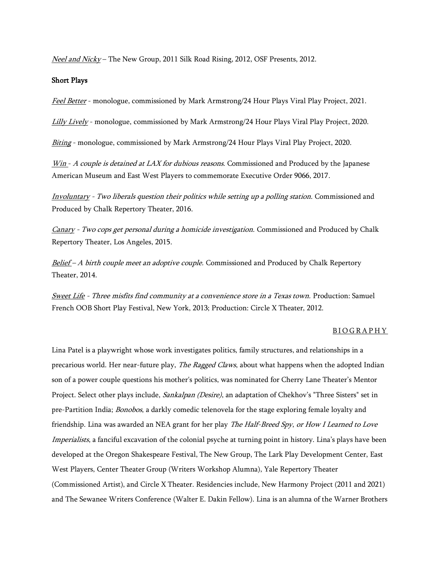Neel and Nicky - The New Group, 2011 Silk Road Rising, 2012, OSF Presents, 2012.

### Short Plays

Feel Better - monologue, commissioned by Mark Armstrong/24 Hour Plays Viral Play Project, 2021.

Lilly Lively - monologue, commissioned by Mark Armstrong/24 Hour Plays Viral Play Project, 2020.

Biting - monologue, commissioned by Mark Armstrong/24 Hour Plays Viral Play Project, 2020.

 $Win - A couple is determined at LAX for dubious reasons.$  Commissioned and Produced by the Japanese American Museum and East West Players to commemorate Executive Order 9066, 2017.

Involuntary - Two liberals question their politics while setting up a polling station. Commissioned and Produced by Chalk Repertory Theater, 2016.

Canary - Two cops get personal during a homicide investigation. Commissioned and Produced by Chalk Repertory Theater, Los Angeles, 2015.

Belief – A birth couple meet an adoptive couple. Commissioned and Produced by Chalk Repertory Theater, 2014.

Sweet Life - Three misfits find community at a convenience store in a Texas town. Production: Samuel French OOB Short Play Festival, New York, 2013; Production: Circle X Theater, 2012.

#### **BIOGRAPHY**

Lina Patel is a playwright whose work investigates politics, family structures, and relationships in a precarious world. Her near-future play, The Ragged Claws, about what happens when the adopted Indian son of a power couple questions his mother's politics, was nominated for Cherry Lane Theater's Mentor Project. Select other plays include, Sankalpan (Desire), an adaptation of Chekhov's "Three Sisters" set in pre-Partition India; *Bonobos*, a darkly comedic telenovela for the stage exploring female loyalty and friendship. Lina was awarded an NEA grant for her play The Half-Breed Spy, or How I Learned to Love Imperialists, a fanciful excavation of the colonial psyche at turning point in history. Lina's plays have been developed at the Oregon Shakespeare Festival, The New Group, The Lark Play Development Center, East West Players, Center Theater Group (Writers Workshop Alumna), Yale Repertory Theater (Commissioned Artist), and Circle X Theater. Residencies include, New Harmony Project (2011 and 2021) and The Sewanee Writers Conference (Walter E. Dakin Fellow). Lina is an alumna of the Warner Brothers